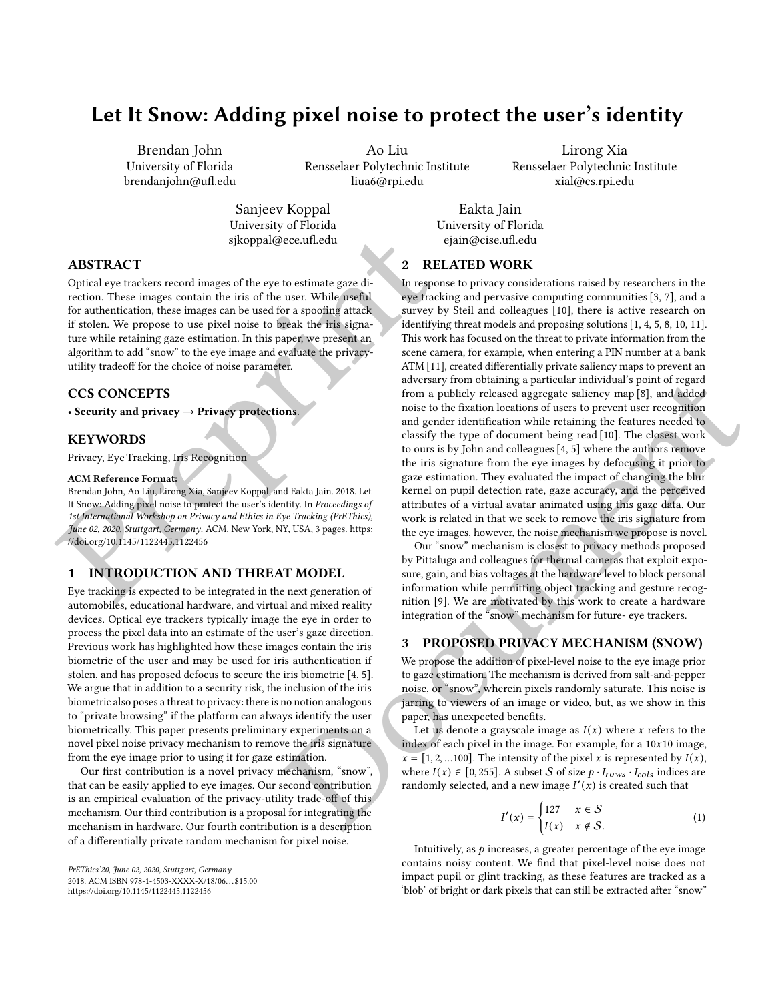# Let It Snow: Adding pixel noise to protect the user's identity

Brendan John University of Florida brendanjohn@ufl.edu

Ao Liu Rensselaer Polytechnic Institute liua6@rpi.edu

Lirong Xia Rensselaer Polytechnic Institute xial@cs.rpi.edu

Sanjeev Koppal University of Florida sjkoppal@ece.ufl.edu

Eakta Jain University of Florida ejain@cise.ufl.edu

# ABSTRACT

[Pr](https://doi.org/10.1145/1122445.1122456)eprint Optical eye trackers record images of the eye to estimate gaze direction. These images contain the iris of the user. While useful for authentication, these images can be used for a spoofing attack if stolen. We propose to use pixel noise to break the iris signature while retaining gaze estimation. In this paper, we present an algorithm to add "snow" to the eye image and evaluate the privacyutility tradeoff for the choice of noise parameter.

## CCS CONCEPTS

• Security and privacy  $\rightarrow$  Privacy protections.

## **KEYWORDS**

Privacy, Eye Tracking, Iris Recognition

#### ACM Reference Format:

Brendan John, Ao Liu, Lirong Xia, Sanjeev Koppal, and Eakta Jain. 2018. Let It Snow: Adding pixel noise to protect the user's identity. In Proceedings of 1st International Workshop on Privacy and Ethics in Eye Tracking (PrEThics), June 02, 2020, Stuttgart, Germany. ACM, New York, NY, USA, 3 pages. https: //doi.org/10.1145/1122445.1122456

# 1 INTRODUCTION AND THREAT MODEL

Eye tracking is expected to be integrated in the next generation of automobiles, educational hardware, and virtual and mixed reality devices. Optical eye trackers typically image the eye in order to process the pixel data into an estimate of the user's gaze direction. Previous work has highlighted how these images contain the iris biometric of the user and may be used for iris authentication if stolen, and has proposed defocus to secure the iris biometric [4, 5]. We argue that in addition to a security risk, the inclusion of the iris biometric also poses a threat to privacy: there is no notion analogous to "private browsing" if the platform can always identify the user biometrically. This paper presents preliminary experiments on a novel pixel noise privacy mechanism to remove the iris signature from the eye image prior to using it for gaze estimation.

Our first contribution is a novel privacy mechanism, "snow", that can be easily applied to eye images. Our second contribution is an empirical evaluation of the privacy-utility trade-off of this mechanism. Our third contribution is a proposal for integrating the mechanism in hardware. Our fourth contribution is a description of a differentially private random mechanism for pixel noise.

# 2 RELATED WORK

and<br>rearry from a publicly relaxed aggregate saliency map [s], and added<br>noise to the fraction locations of users to prevail the map and gender density the year of extends the fraction of the fraction of the simulation of In response to privacy considerations raised by researchers in the eye tracking and pervasive computing communities [\[3,](#page-2-3) [7\]](#page-2-4), and a survey by Steil and colleagues [\[10\]](#page-2-5), there is active research on identifying threat models and proposing solutions [\[1,](#page-2-6) [4,](#page-2-1) [5,](#page-2-2) [8,](#page-2-7) [10,](#page-2-5) [11\]](#page-2-8). This work has focused on the threat to private information from the scene camera, for example, when entering a PIN number at a bank ATM [\[11\]](#page-2-8), created differentially private saliency maps to prevent an adversary from obtaining a particular individual's point of regard from a publicly released aggregate saliency map [8], and added noise to the fixation locations of users to prevent user recognition and gender identification while retaining the features needed to classify the type of document being read [10]. The closest work to ours is by John and colleagues [4, 5] where the authors remove the iris signature from the eye images by defocusing it prior to gaze estimation. They evaluated the impact of changing the blur kernel on pupil detection rate, gaze accuracy, and the perceived attributes of a virtual avatar animated using this gaze data. Our work is related in that we seek to remove the iris signature from the eye images, however, the noise mechanism we propose is novel.

Our "snow" mechanism is closest to privacy methods proposed by Pittaluga and colleagues for thermal cameras that exploit exposure, gain, and bias voltages at the hardware level to block personal information while permitting object tracking and gesture recognition [9]. We are motivated by this work to create a hardware integration of the "snow" mechanism for future- eye trackers.

## <span id="page-0-0"></span>3 PROPOSED PRIVACY MECHANISM (SNOW)

We propose the addition of pixel-level noise to the eye image prior to gaze estimation. The mechanism is derived from salt-and-pepper noise, or "snow", wherein pixels randomly saturate. This noise is jarring to viewers of an image or video, but, as we show in this paper, has unexpected benefits.

Let us denote a grayscale image as  $I(x)$  where x refers to the index of each pixel in the image. For example, for a  $10x10$  image,  $x = [1, 2, ...100]$ . The intensity of the pixel x is represented by  $I(x)$ , where  $I(x) \in [0, 255]$ . A subset S of size  $p \cdot I_{rows} \cdot I_{cols}$  indices are randomly selected, and a new image  $I'(x)$  is created such that

$$
I'(x) = \begin{cases} 127 & x \in S \\ I(x) & x \notin S. \end{cases}
$$
 (1)

Intuitively, as  $p$  increases, a greater percentage of the eye image contains noisy content. We find that pixel-level noise does not impact pupil or glint tracking, as these features are tracked as a 'blob' of bright or dark pixels that can still be extracted after "snow"

PrEThics'20, June 02, 2020, Stuttgart, Germany 2018. ACM ISBN 978-1-4503-XXXX-X/18/06. . . \$15.00 <https://doi.org/10.1145/1122445.1122456>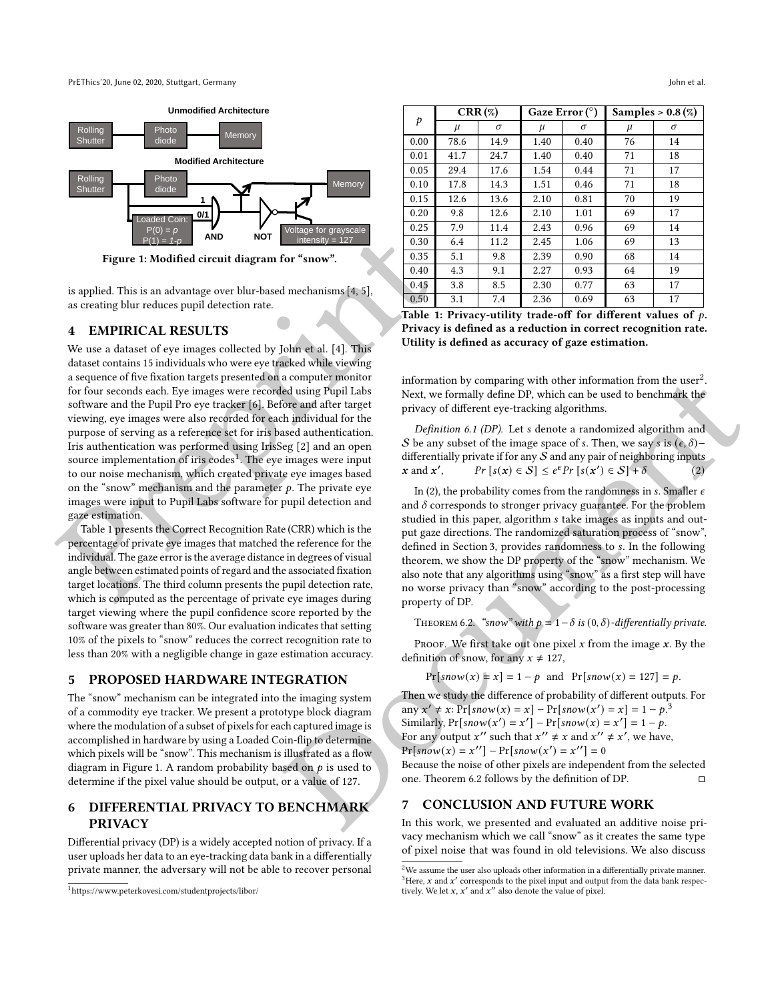<span id="page-1-2"></span>

Figure 1: Modified circuit diagram for "snow".

is applied. This is an advantage over blur-based mechanisms [ 4 , 5], as creating blur reduces pupil detection rate.

#### 4 EMPIRICAL RESULTS

**Figu[r](#page-2-10)e 1: Modified elec[t](#page-1-3)ric agents** (a)  $\frac{33}{24}$  (a)  $\frac{34}{24}$  (a)  $\frac{35}{24}$  (a)  $\frac{35}{24}$  (a)  $\frac{35}{24}$  (a)  $\frac{35}{24}$  (a)  $\frac{35}{24}$  (a)  $\frac{35}{24}$  (a)  $\frac{35}{24}$  (a)  $\frac{35}{24}$  (a)  $\frac{35}{24}$  (a)  $\frac{$ We use a dataset of eve images collected by John et al. [4]. This dataset contains 15 individuals who were eye tracked while viewing a sequence of five fixation targets presented on a computer monitor for four seconds each. Eye images were recorded using Pupil Labs software and the Pupil Pro eye tracker [6]. Before and after target viewing, eye images were also recorded for each individual for the purpose of serving as a reference set for iris based authentication. Iris authentication was performed using IrisSeg [ 2] and an open source implementation of iris codes<sup>1</sup>. The eve images were input to our noise mechanism, which created private eye images based on the "snow" mechanism and the parameter  $p$ . The private eve images were input to Pupil Labs software for pupil detection and gaze estimation.

Table 1 presents the Correct Recognition Rate (CRR) which is the percentage of private eye images that matched the reference for the individual. The gaze error is the average distance in degrees of visual angle between estimated points of regard and the associated fixation target locations. The third column presents the pupil detection rate, which is computed as the percentage of private eye images during target viewing where the pupil confidence score reported by the software was greater than 80%. Our evaluation indicates that setting 10% of the pixels to "snow" reduces the correct recognition rate to less than 20% with a negligible change in gaze estimation accuracy.

#### 5 PROPOSED HARDWARE INTEGRATION

The "snow" mechanism can be integrated into the imaging system of a commodity eye tracker. We present a prototype block diagram where the modulation of a subset of pixels for each captured image is accomplished in hardware by using a Loaded Coin-flip to determine which pixels will be "snow". This mechanism is illustrated as a flow diagram in Figure [1.](#page-1-2) A random probability based on  $p$  is used to determine if the pixel value should be output, or a value of 127.

# 6 DIFFERENTIAL PRIVACY TO BENCHMARK PRIVACY

Differential privacy (DP) is a widely accepted notion of privacy. If a user uploads her data to an eye-tracking data bank in a differentially private manner, the adversary will not be able to recover personal

<span id="page-1-1"></span>

| p    | $CRR(\%)$ |      | Gaze Error $(^\circ)$ |      | Samples $> 0.8(\%)$ |    |
|------|-----------|------|-----------------------|------|---------------------|----|
|      | $\mu$     | σ    | μ                     | σ    | $\mu$               | σ  |
| 0.00 | 78.6      | 14.9 | 1.40                  | 0.40 | 76                  | 14 |
| 0.01 | 41.7      | 24.7 | 1.40                  | 0.40 | 71                  | 18 |
| 0.05 | 29.4      | 17.6 | 1.54                  | 0.44 | 71                  | 17 |
| 0.10 | 17.8      | 14.3 | 1.51                  | 0.46 | 71                  | 18 |
| 0.15 | 12.6      | 13.6 | 2.10                  | 0.81 | 70                  | 19 |
| 0.20 | 9.8       | 12.6 | 2.10                  | 1.01 | 69                  | 17 |
| 0.25 | 7.9       | 11.4 | 2.43                  | 0.96 | 69                  | 14 |
| 0.30 | 6.4       | 11.2 | 2.45                  | 1.06 | 69                  | 13 |
| 0.35 | 5.1       | 9.8  | 2.39                  | 0.90 | 68                  | 14 |
| 0.40 | 4.3       | 9.1  | 2.27                  | 0.93 | 64                  | 19 |
| 0.45 | 3.8       | 8.5  | 2.30                  | 0.77 | 63                  | 17 |
| 0.50 | 3.1       | 7.4  | 2.36                  | 0.69 | 63                  | 17 |

Table 1: Privacy-utility trade-off for different values of  $\rho$ . Privacy is defined as a reduction in correct recognition rate. Utility is defined as accuracy of gaze estimation.

information by comparing with other information from the user<sup>2</sup>. Next, we formally define DP, which can be used to benchmark the privacy of different eye-tracking algorithms.

Definition 6.1 (DP). Let s denote a randomized algorithm and S be any subset of the image space of s. Then, we say s is  $(\epsilon, \delta)$  – differentially private if for any  $\overline{S}$  and any pair of neighboring inputs  $x$  and  $x'$  $\bigg\{ Pr \big[ s(x) \in S \big] \leq e^{\epsilon} Pr \big[ s(x') \in S \big] + \delta$  $(2)$ 

In (2), the probability comes from the randomness in s. Smaller  $\epsilon$ and  $\delta$  corresponds to stronger privacy guarantee. For the problem studied in this paper, algorithm s take images as inputs and output gaze directions. The randomized saturation process of "snow", defined in Section 3, provides randomness to . In the following theorem, we show the DP property of the "snow" mechanism. We also note that any algorithms using "snow" as a first step will have no worse privacy than "snow" according to the post-processing property of DP.

<span id="page-1-5"></span>THEOREM 6.2. "snow" with  $p = 1 - \delta$  is  $(0, \delta)$ -differentially private.

Proof. We first take out one pixel x from the image  $x$ . By the definition of snow, for any  $x \ne 127$ ,

$$
Pr[snow(x) = x] = 1 - p \text{ and } Pr[snow(x) = 127] = p.
$$

Then we study the difference of probability of different outputs. For any  $x' \neq x$ :  $Pr[snow(x) = x] - Pr[snow(x') = x] = 1 - p^{3}$ Similarly,  $Pr[snow(x') = x'] - Pr[snow(x) = x'] = 1 - p$ . For any output x'' such that  $x'' \neq x$  and  $x'' \neq x'$ , we have,  $Pr[snow(x)] = x''] - Pr[snow(x') = x''] = 0$ 

Because the noise of other pixels are independent from the selected one. Theorem 6.2 follows by the definition of DP.  $\Box$ 

#### 7 CONCLUSION AND FUTURE WORK

In this work, we presented and evaluated an additive noise privacy mechanism which we call "snow" as it creates the same type of pixel noise that was found in old televisions. We also discuss

<span id="page-1-0"></span><sup>1</sup><https://www.peterkovesi.com/studentprojects/libor/>

<span id="page-1-4"></span><span id="page-1-3"></span> $^2\!$  We assume the user also uploads other information in a differentially private manner.  $3$ Here, x and x' corresponds to the pixel input and output from the data bank respectively. We let x, x' and x'' also denote the value of pixel.